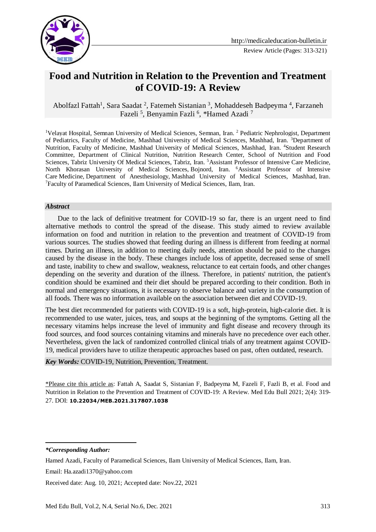

# **Food and Nutrition in Relation to the Prevention and Treatment of COVID-19: A Review**

Abolfazl Fattah<sup>1</sup>, Sara Saadat<sup>2</sup>, Fatemeh Sistanian<sup>3</sup>, Mohaddeseh Badpeyma<sup>4</sup>, Farzaneh Fazeli<sup>5</sup>, Benyamin Fazli<sup>6</sup>, \*Hamed Azadi<sup>7</sup>

<sup>1</sup>Velayat Hospital, Semnan University of Medical Sciences, Semnan, Iran. <sup>2</sup> Pediatric Nephrologist, Department of Pediatrics, Faculty of Medicine, Mashhad University of Medical Sciences, Mashhad, Iran. <sup>3</sup>Department of Nutrition, Faculty of Medicine, Mashhad University of Medical Sciences, Mashhad, Iran. <sup>4</sup>Student Research Committee, Department of Clinical Nutrition, Nutrition Research Center, School of Nutrition and Food Sciences, Tabriz University Of Medical Sciences, Tabriz, Iran. <sup>5</sup>Assistant Professor of Intensive Care Medicine, North Khorasan University of Medical Sciences, Bojnord, Iran. <sup>6</sup>Assistant Professor of Intensive Care Medicine, Department of Anesthesiology, Mashhad University of Medical Sciences, Mashhad, Iran. <sup>7</sup>Faculty of Paramedical Sciences, Ilam University of Medical Sciences, Ilam, Iran.

#### *Abstract*

 Due to the lack of definitive treatment for COVID-19 so far, there is an urgent need to find alternative methods to control the spread of the disease. This study aimed to review available information on food and nutrition in relation to the prevention and treatment of COVID-19 from various sources. The studies showed that feeding during an illness is different from feeding at normal times. During an illness, in addition to meeting daily needs, attention should be paid to the changes caused by the disease in the body. These changes include loss of appetite, decreased sense of smell and taste, inability to chew and swallow, weakness, reluctance to eat certain foods, and other changes depending on the severity and duration of the illness. Therefore, in patients' nutrition, the patient's condition should be examined and their diet should be prepared according to their condition. Both in normal and emergency situations, it is necessary to observe balance and variety in the consumption of all foods. There was no information available on the association between diet and COVID-19.

The best diet recommended for patients with COVID-19 is a soft, high-protein, high-calorie diet. It is recommended to use water, juices, teas, and soups at the beginning of the symptoms. Getting all the necessary vitamins helps increase the level of immunity and fight disease and recovery through its food sources, and food sources containing vitamins and minerals have no precedence over each other. Nevertheless, given the lack of randomized controlled clinical trials of any treatment against COVID-19, medical providers have to utilize therapeutic approaches based on past, often outdated, research.

*Key Words:* COVID-19, Nutrition, Prevention, Treatment.

\*Please cite this article as: Fattah A, Saadat S, Sistanian F, Badpeyma M, Fazeli F, Fazli B, et al. Food and Nutrition in Relation to the Prevention and Treatment of COVID-19: A Review. Med Edu Bull 2021; 2(4): 319- 27. DOI: **10.22034/MEB.2021.317807.1038**

-

Received date: Aug. 10, 2021; Accepted date: Nov.22, 2021

*<sup>\*</sup>Corresponding Author:*

Hamed Azadi, Faculty of Paramedical Sciences, Ilam University of Medical Sciences, Ilam, Iran.

Email: [Ha.azadi1370@yahoo.com](mailto:Ha.azadi1370@yahoo.com)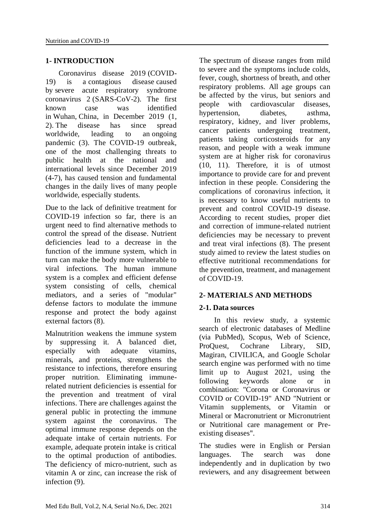#### **1- INTRODUCTION**

 Coronavirus disease 2019 (COVID-19) is a contagious disease caused by severe acute respiratory syndrome coronavirus 2 (SARS-CoV-2). The first known case was identified in Wuhan, China, in December 2019 (1, 2). The disease has since spread worldwide, leading to an ongoing pandemic (3). The COVID-19 outbreak, one of the most challenging threats to public health at the national and international levels since December 2019 (4-7), has caused tension and fundamental changes in the daily lives of many people worldwide, especially students.

Due to the lack of definitive treatment for COVID-19 infection so far, there is an urgent need to find alternative methods to control the spread of the disease. Nutrient deficiencies lead to a decrease in the function of the immune system, which in turn can make the body more vulnerable to viral infections. The human immune system is a complex and efficient defense system consisting of cells, chemical mediators, and a series of "modular" defense factors to modulate the immune response and protect the body against external factors (8).

Malnutrition weakens the immune system by suppressing it. A balanced diet, especially with adequate vitamins, minerals, and proteins, strengthens the resistance to infections, therefore ensuring proper nutrition. Eliminating immunerelated nutrient deficiencies is essential for the prevention and treatment of viral infections. There are challenges against the general public in protecting the immune system against the coronavirus. The optimal immune response depends on the adequate intake of certain nutrients. For example, adequate protein intake is critical to the optimal production of antibodies. The deficiency of micro-nutrient, such as vitamin A or zinc, can increase the risk of infection (9).

The spectrum of disease ranges from mild to severe and the symptoms include colds, fever, cough, shortness of breath, and other respiratory problems. All age groups can be affected by the virus, but seniors and people with cardiovascular diseases, hypertension, diabetes, asthma, respiratory, kidney, and liver problems, cancer patients undergoing treatment, patients taking corticosteroids for any reason, and people with a weak immune system are at higher risk for coronavirus (10, 11). Therefore, it is of utmost importance to provide care for and prevent infection in these people. Considering the complications of coronavirus infection, it is necessary to know useful nutrients to prevent and control COVID-19 disease. According to recent studies, proper diet and correction of immune-related nutrient deficiencies may be necessary to prevent and treat viral infections (8). The present study aimed to review the latest studies on effective nutritional recommendations for the prevention, treatment, and management of COVID-19.

#### **2- MATERIALS AND METHODS**

#### **2-1. Data sources**

 In this review study, a systemic search of electronic databases of Medline (via PubMed), Scopus, Web of Science, ProQuest, Cochrane Library, SID, Magiran, CIVILICA, and Google Scholar search engine was performed with no time limit up to August 2021, using the following keywords alone or in combination: "Corona or Coronavirus or COVID or COVID-19" AND "Nutrient or Vitamin supplements, or Vitamin or Mineral or Macronutrient or Micronutrient or Nutritional care management or Preexisting diseases".

The studies were in English or Persian languages. The search was done independently and in duplication by two reviewers, and any disagreement between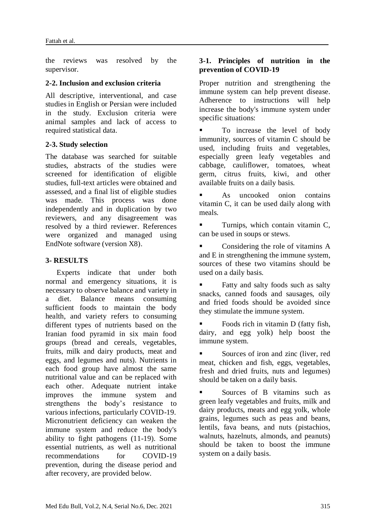the reviews was resolved by the supervisor.

## **2-2. Inclusion and exclusion criteria**

All descriptive, interventional, and case studies in English or Persian were included in the study. Exclusion criteria were animal samples and lack of access to required statistical data.

#### **2-3. Study selection**

The database was searched for suitable studies, abstracts of the studies were screened for identification of eligible studies, full-text articles were obtained and assessed, and a final list of eligible studies was made. This process was done independently and in duplication by two reviewers, and any disagreement was resolved by a third reviewer. References were organized and managed using EndNote software (version X8).

## **3- RESULTS**

 Experts indicate that under both normal and emergency situations, it is necessary to observe balance and variety in a diet. Balance means consuming sufficient foods to maintain the body health, and variety refers to consuming different types of nutrients based on the Iranian food pyramid in six main food groups (bread and cereals, vegetables, fruits, milk and dairy products, meat and eggs, and legumes and nuts). Nutrients in each food group have almost the same nutritional value and can be replaced with each other. Adequate nutrient intake improves the immune system and strengthens the body's resistance to various infections, particularly COVID-19. Micronutrient deficiency can weaken the immune system and reduce the body's ability to fight pathogens (11-19). Some essential nutrients, as well as nutritional recommendations for COVID-19 prevention, during the disease period and after recovery, are provided below.

#### **3-1. Principles of nutrition in the prevention of COVID-19**

Proper nutrition and strengthening the immune system can help prevent disease. Adherence to instructions will help increase the body's immune system under specific situations:

 To increase the level of body immunity, sources of vitamin C should be used, including fruits and vegetables, especially green leafy vegetables and cabbage, cauliflower, tomatoes, wheat germ, citrus fruits, kiwi, and other available fruits on a daily basis.

 As uncooked onion contains vitamin C, it can be used daily along with meals.

 Turnips, which contain vitamin C, can be used in soups or stews.

 Considering the role of vitamins A and E in strengthening the immune system, sources of these two vitamins should be used on a daily basis.

 Fatty and salty foods such as salty snacks, canned foods and sausages, oily and fried foods should be avoided since they stimulate the immune system.

 Foods rich in vitamin D (fatty fish, dairy, and egg yolk) help boost the immune system.

 Sources of iron and zinc (liver, red meat, chicken and fish, eggs, vegetables, fresh and dried fruits, nuts and legumes) should be taken on a daily basis.

 Sources of B vitamins such as green leafy vegetables and fruits, milk and dairy products, meats and egg yolk, whole grains, legumes such as peas and beans, lentils, fava beans, and nuts (pistachios, walnuts, hazelnuts, almonds, and peanuts) should be taken to boost the immune system on a daily basis.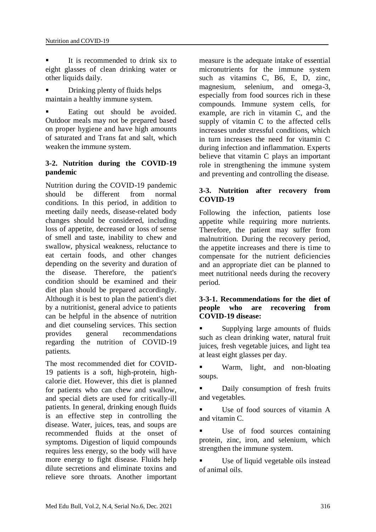It is recommended to drink six to eight glasses of clean drinking water or other liquids daily.

 Drinking plenty of fluids helps maintain a healthy immune system.

 Eating out should be avoided. Outdoor meals may not be prepared based on proper hygiene and have high amounts of saturated and Trans fat and salt, which weaken the immune system.

#### **3-2. Nutrition during the COVID-19 pandemic**

Nutrition during the COVID-19 pandemic should be different from normal conditions. In this period, in addition to meeting daily needs, disease-related body changes should be considered, including loss of appetite, decreased or loss of sense of smell and taste, inability to chew and swallow, physical weakness, reluctance to eat certain foods, and other changes depending on the severity and duration of the disease. Therefore, the patient's condition should be examined and their diet plan should be prepared accordingly. Although it is best to plan the patient's diet by a nutritionist, general advice to patients can be helpful in the absence of nutrition and diet counseling services. This section provides general recommendations regarding the nutrition of COVID-19 patients.

The most recommended diet for COVID-19 patients is a soft, high-protein, highcalorie diet. However, this diet is planned for patients who can chew and swallow, and special diets are used for critically-ill patients. In general, drinking enough fluids is an effective step in controlling the disease. Water, juices, teas, and soups are recommended fluids at the onset of symptoms. Digestion of liquid compounds requires less energy, so the body will have more energy to fight disease. Fluids help dilute secretions and eliminate toxins and relieve sore throats. Another important measure is the adequate intake of essential micronutrients for the immune system such as vitamins C, B6, E, D, zinc, magnesium, selenium, and omega-3, especially from food sources rich in these compounds. Immune system cells, for example, are rich in vitamin C, and the supply of vitamin C to the affected cells increases under stressful conditions, which in turn increases the need for vitamin C during infection and inflammation. Experts believe that vitamin C plays an important role in strengthening the immune system and preventing and controlling the disease.

## **3-3. Nutrition after recovery from COVID-19**

Following the infection, patients lose appetite while requiring more nutrients. Therefore, the patient may suffer from malnutrition. During the recovery period, the appetite increases and there is time to compensate for the nutrient deficiencies and an appropriate diet can be planned to meet nutritional needs during the recovery period.

#### **3-3-1. Recommendations for the diet of people who are recovering from COVID-19 disease:**

 Supplying large amounts of fluids such as clean drinking water, natural fruit juices, fresh vegetable juices, and light tea at least eight glasses per day.

**Warm, light, and non-bloating** soups.

**Daily consumption of fresh fruits** and vegetables.

 Use of food sources of vitamin A and vitamin C.

 Use of food sources containing protein, zinc, iron, and selenium, which strengthen the immune system.

 Use of liquid vegetable oils instead of animal oils.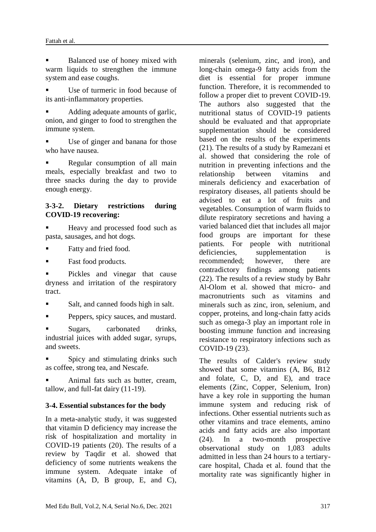Balanced use of honey mixed with warm liquids to strengthen the immune system and ease coughs.

 Use of turmeric in food because of its anti-inflammatory properties.

 Adding adequate amounts of garlic, onion, and ginger to food to strengthen the immune system.

 Use of ginger and banana for those who have nausea.

 Regular consumption of all main meals, especially breakfast and two to three snacks during the day to provide enough energy.

#### **3-3-2. Dietary restrictions during COVID-19 recovering:**

Heavy and processed food such as pasta, sausages, and hot dogs.

- Fatty and fried food.
- Fast food products.

 Pickles and vinegar that cause dryness and irritation of the respiratory tract.

- Salt, and canned foods high in salt.
- Peppers, spicy sauces, and mustard.

 Sugars, carbonated drinks, industrial juices with added sugar, syrups, and sweets.

 Spicy and stimulating drinks such as coffee, strong tea, and Nescafe.

 Animal fats such as butter, cream, tallow, and full-fat dairy (11-19).

#### **3-4. Essential substances for the body**

In a meta-analytic study, it was suggested that vitamin D deficiency may increase the risk of hospitalization and mortality in COVID-19 patients (20). The results of a review by Taqdir et al. showed that deficiency of some nutrients weakens the immune system. Adequate intake of vitamins (A, D, B group, E, and C),

minerals (selenium, zinc, and iron), and long-chain omega-9 fatty acids from the diet is essential for proper immune function. Therefore, it is recommended to follow a proper diet to prevent COVID-19. The authors also suggested that the nutritional status of COVID-19 patients should be evaluated and that appropriate supplementation should be considered based on the results of the experiments (21). The results of a study by Ramezani et al. showed that considering the role of nutrition in preventing infections and the relationship between vitamins and minerals deficiency and exacerbation of respiratory diseases, all patients should be advised to eat a lot of fruits and vegetables. Consumption of warm fluids to dilute respiratory secretions and having a varied balanced diet that includes all major food groups are important for these patients. For people with nutritional deficiencies, supplementation is recommended; however, there are contradictory findings among patients (22). The results of a review study by Bahr Al-Olom et al. showed that micro- and macronutrients such as vitamins and minerals such as zinc, iron, selenium, and copper, proteins, and long-chain fatty acids such as omega-3 play an important role in boosting immune function and increasing resistance to respiratory infections such as COVID-19 (23).

The results of Calder's review study showed that some vitamins (A, B6, B12 and folate, C, D, and E), and trace elements (Zinc, Copper, Selenium, Iron) have a key role in supporting the human immune system and reducing risk of infections. Other essential nutrients such as other vitamins and trace elements, amino acids and fatty acids are also important (24). In a two-month prospective observational study on 1,083 adults admitted in less than 24 hours to a tertiarycare hospital, Chada et al. found that the mortality rate was significantly higher in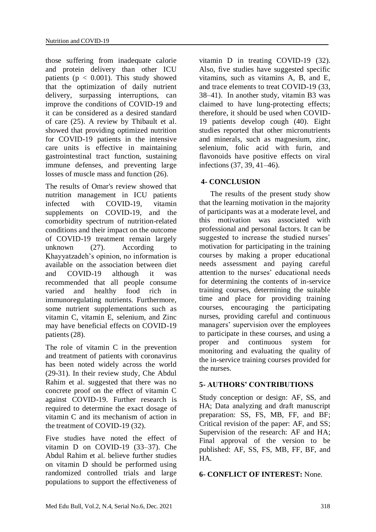those suffering from inadequate calorie and protein delivery than other ICU patients ( $p < 0.001$ ). This study showed that the optimization of daily nutrient delivery, surpassing interruptions, can improve the conditions of COVID-19 and it can be considered as a desired standard of care (25). A review by Thibault et al. showed that providing optimized nutrition for COVID-19 patients in the intensive care units is effective in maintaining gastrointestinal tract function, sustaining immune defenses, and preventing large losses of muscle mass and function (26).

The results of Omar's review showed that nutrition management in ICU patients infected with COVID-19, vitamin supplements on COVID-19, and the comorbidity spectrum of nutrition-related conditions and their impact on the outcome of COVID-19 treatment remain largely unknown (27). According to Khayyatzadeh's opinion, no information is available on the association between diet and COVID-19 although it was recommended that all people consume varied and healthy food rich in immunoregulating nutrients. Furthermore, some nutrient supplementations such as vitamin C, vitamin E, selenium, and Zinc may have beneficial effects on COVID-19 patients (28).

The role of vitamin C in the prevention and treatment of patients with coronavirus has been noted widely across the world (29-31). In their review study, Che Abdul Rahim et al. suggested that there was no concrete proof on the effect of vitamin C against COVID-19. Further research is required to determine the exact dosage of vitamin C and its mechanism of action in the treatment of COVID-19 (32).

Five studies have noted the effect of vitamin D on COVID-19 (33–37). Che Abdul Rahim et al. believe further studies on vitamin D should be performed using randomized controlled trials and large populations to support the effectiveness of vitamin D in treating COVID-19 (32). Also, five studies have suggested specific vitamins, such as vitamins A, B, and E, and trace elements to treat COVID-19 (33, 38–41). In another study, vitamin B3 was claimed to have lung-protecting effects; therefore, it should be used when COVID-19 patients develop cough (40). Eight studies reported that other micronutrients and minerals, such as magnesium, zinc, selenium, folic acid with furin, and flavonoids have positive effects on viral infections (37, 39, 41–46).

## **4- CONCLUSION**

 The results of the present study show that the learning motivation in the majority of participants was at a moderate level, and this motivation was associated with professional and personal factors. It can be suggested to increase the studied nurses' motivation for participating in the training courses by making a proper educational needs assessment and paying careful attention to the nurses' educational needs for determining the contents of in-service training courses, determining the suitable time and place for providing training courses, encouraging the participating nurses, providing careful and continuous managers' supervision over the employees to participate in these courses, and using a proper and continuous system for monitoring and evaluating the quality of the in-service training courses provided for the nurses.

#### **5- AUTHORS' CONTRIBUTIONS**

Study conception or design: AF, SS, and HA; Data analyzing and draft manuscript preparation: SS, FS, MB, FF, and BF; Critical revision of the paper: AF, and SS; Supervision of the research: AF and HA; Final approval of the version to be published: AF, SS, FS, MB, FF, BF, and HA.

#### **6- CONFLICT OF INTEREST:** None.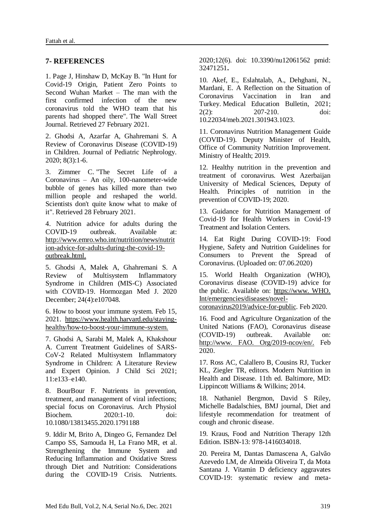#### **7- REFERENCES**

1. Page J, Hinshaw D, McKay B. ["In Hunt for](https://www.wsj.com/articles/in-hunt-for-covid-19-origin-patient-zero-points-to-second-wuhan-market-11614335404)  [Covid-19 Origin, Patient Zero Points to](https://www.wsj.com/articles/in-hunt-for-covid-19-origin-patient-zero-points-to-second-wuhan-market-11614335404)  [Second Wuhan Market –](https://www.wsj.com/articles/in-hunt-for-covid-19-origin-patient-zero-points-to-second-wuhan-market-11614335404) The man with the [first confirmed infection of the new](https://www.wsj.com/articles/in-hunt-for-covid-19-origin-patient-zero-points-to-second-wuhan-market-11614335404)  [coronavirus told the WHO team that his](https://www.wsj.com/articles/in-hunt-for-covid-19-origin-patient-zero-points-to-second-wuhan-market-11614335404)  [parents had shopped there".](https://www.wsj.com/articles/in-hunt-for-covid-19-origin-patient-zero-points-to-second-wuhan-market-11614335404) [The Wall Street](https://en.wikipedia.org/wiki/The_Wall_Street_Journal)  [Journal.](https://en.wikipedia.org/wiki/The_Wall_Street_Journal) Retrieved 27 February 2021.

2. Ghodsi A, Azarfar A, Ghahremani S. A Review of Coronavirus Disease (COVID-19) in Children. Journal of Pediatric Nephrology. 2020; 8(3):1-6.

3. [Zimmer](https://en.wikipedia.org/wiki/Carl_Zimmer) C. ["The Secret Life of a](https://www.nytimes.com/2021/02/26/opinion/sunday/coronavirus-alive-dead.html)  Coronavirus – [An oily, 100-nanometer-wide](https://www.nytimes.com/2021/02/26/opinion/sunday/coronavirus-alive-dead.html)  [bubble of genes has killed more than two](https://www.nytimes.com/2021/02/26/opinion/sunday/coronavirus-alive-dead.html)  [million people and reshaped the world.](https://www.nytimes.com/2021/02/26/opinion/sunday/coronavirus-alive-dead.html)  [Scientists don't quite know what to make of](https://www.nytimes.com/2021/02/26/opinion/sunday/coronavirus-alive-dead.html)  [it".](https://www.nytimes.com/2021/02/26/opinion/sunday/coronavirus-alive-dead.html) Retrieved 28 February 2021.

4. Nutrition advice for adults during the COVID-19 outbreak. Available at: http://www.emro.who.int/nutrition/news/nutrit ion-advice-for-adults-during-the-covid-19 outbreak.html.

5. Ghodsi A, Malek A, Ghahremani S. A Review of Multisystem Inflammatory Syndrome in Children (MIS-C) Associated with COVID-19. Hormozgan Med J. 2020 December; 24(4):e107048.

6. How to boost your immune system. Feb 15, 2021. https://www.health.harvard.edu/stayinghealthy/how-to-boost-your-immune-system.

7. Ghodsi A, Sarabi M, Malek A, Khakshour A. Current Treatment Guidelines of SARS-CoV-2 Related Multisystem Inflammatory Syndrome in Children: A Literature Review and Expert Opinion. J Child Sci 2021; 11:e133–e140.

8. BourBour F. Nutrients in prevention, treatment, and management of viral infections; special focus on Coronavirus. Arch Physiol Biochem. 2020:1-10. doi: 10.1080/13813455.2020.1791188

9. Iddir M, Brito A, Dingeo G, Fernandez Del Campo SS, Samouda H, La Frano MR, et al. Strengthening the Immune System and Reducing Inflammation and Oxidative Stress through Diet and Nutrition: Considerations during the COVID-19 Crisis. Nutrients. 2020;12(6). doi: 10.3390/nu12061562 pmid: 32471251**.**

10. Akef, E., Eslahtalab, A., Dehghani, N., Mardani, E. A Reflection on the Situation of Coronavirus Vaccination in Iran and Turkey. Medical Education Bulletin, 2021; 2(2): 207-210. doi: 10.22034/meb.2021.301943.1023.

11. Coronavirus Nutrition Management Guide (COVID-19). Deputy Minister of Health, Office of Community Nutrition Improvement. Ministry of Health; 2019.

12. Healthy nutrition in the prevention and treatment of coronavirus. West Azerbaijan University of Medical Sciences, Deputy of Health. Principles of nutrition in the prevention of COVID-19; 2020.

13. Guidance for Nutrition Management of Covid-19 for Health Workers in Covid-19 Treatment and Isolation Centers.

14. [Eat Right During COVID-19: Food](https://fssai.gov.in/upload/uploadfiles/files/Guidance_Document_Eat_Right_07_06_2020.pdf)  [Hygiene, Safety and Nutrition Guidelines for](https://fssai.gov.in/upload/uploadfiles/files/Guidance_Document_Eat_Right_07_06_2020.pdf)  [Consumers to Prevent the Spread of](https://fssai.gov.in/upload/uploadfiles/files/Guidance_Document_Eat_Right_07_06_2020.pdf)  [Coronavirus. \(Uploaded on: 07.06.2020\)](https://fssai.gov.in/upload/uploadfiles/files/Guidance_Document_Eat_Right_07_06_2020.pdf)

15. World Health Organization (WHO), Coronavirus disease (COVID-19) advice for the public. Available on: https://www. WHO. Int/emergencies/diseases/novel-

coronavirus2019/advice-for-public. Feb 2020.

16. Food and Agriculture Organization of the United Nations (FAO), Coronavirus disease (COVID-19) outbreak. Available on: http://www. FAO. Org/2019-ncov/en/. Feb 2020.

17. Ross AC, Calallero B, Cousins RJ, Tucker KL, Ziegler TR, editors. Modern Nutrition in Health and Disease. 11th ed. Baltimore, MD: Lippincott Williams & Wilkins; 2014.

18. Nathaniel Bergmon, David S Riley, Michelle Badalschies, BMJ journal, Diet and lifestyle recommendation for treatment of cough and chronic disease.

19. Kraus, Food and Nutrition Therapy 12th Edition. ISBN-13: 978-1416034018.

20. Pereira M, Dantas Damascena A, Galvão Azevedo LM, de Almeida Oliveira T, da Mota Santana J. Vitamin D deficiency aggravates COVID-19: systematic review and meta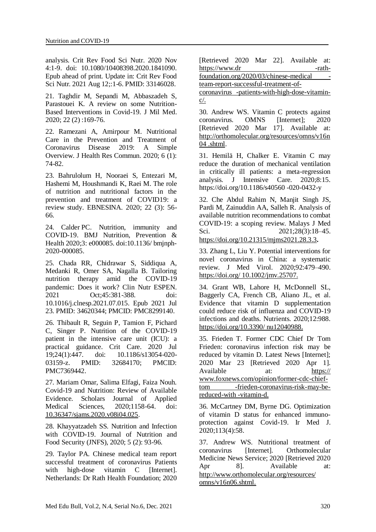analysis. Crit Rev Food Sci Nutr. 2020 Nov 4:1-9. doi: 10.1080/10408398.2020.1841090. Epub ahead of print. Update in: Crit Rev Food Sci Nutr. 2021 Aug 12;:1-6. PMID: 33146028.

21. Taghdir M, Sepandi M, Abbaszadeh S, Parastouei K. A review on some Nutrition-Based Interventions in Covid-19. J Mil Med. 2020; 22 (2) :169-76.

22. Ramezani A, Amirpour M. Nutritional Care in the Prevention and Treatment of Coronavirus Disease 2019: A Simple Overview. J Health Res Commun. 2020; 6 (1): 74-82.

23. Bahrulolum H, Nooraei S, Entezari M, Hashemi M, Houshmandi K, Raei M. The role of nutrition and nutritional factors in the prevention and treatment of COVID19: a review study. EBNESINA. 2020; 22 (3): 56- 66.

24. Calder PC. Nutrition, immunity and COVID-19. BMJ Nutrition, Prevention & Health 2020;3: e000085. doi:10.1136/ bmjnph-2020-000085.

25. Chada RR, Chidrawar S, Siddiqua A, Medanki R, Omer SA, Nagalla B. Tailoring nutrition therapy amid the COVID-19 pandemic: Does it work? Clin Nutr ESPEN. 2021 Oct;45:381-388. doi: 10.1016/j.clnesp.2021.07.015. Epub 2021 Jul 23. PMID: 34620344; PMCID: PMC8299140.

26. Thibault R, Seguin P, Tamion F, Pichard C, Singer P. Nutrition of the COVID-19 patient in the intensive care unit (ICU): a practical guidance. Crit Care. 2020 Jul 19;24(1):447. doi: 10.1186/s13054-020- 03159-z. PMID: 32684170; PMCID: PMC7369442.

27. Mariam Omar, Salima Elfagi, Faiza Nouh. Covid-19 and Nutrition: Review of Available Evidence. Scholars Journal of Applied Medical Sciences, 2020;1158-64. doi: [10.36347/sjams.2020.v08i04.025.](http://dx.doi.org/10.36347/sjams.2020.v08i04.025)

28. Khayyatzadeh SS. Nutrition and Infection with COVID-19. Journal of Nutrition and Food Security (JNFS), 2020; 5 (2): 93-96.

29. Taylor PA. Chinese medical team report successful treatment of coronavirus Patients with high-dose vitamin C [Internet]. Netherlands: Dr Rath Health Foundation; 2020 [Retrieved 2020 Mar 22]. Available at: https://www.dr -rathfoundation.org/2020/03/chinese-medical -

team-report-successful-treatment-of-

coronavirus -patients-with-high-dose-vitamin $c/$ .

30. Andrew WS. Vitamin C protects against coronavirus. OMNS [Internet]; 2020 [Retrieved 2020 Mar 17]. Available at: [http://orthomolecular.org/resources/omns/v16n](http://orthomolecular.org/resources/omns/v16n04%20.shtml) [04 .shtml.](http://orthomolecular.org/resources/omns/v16n04%20.shtml)

31. Hemilä H, Chalker E. Vitamin C may reduce the duration of mechanical ventilation in critically ill patients: a meta-regression analysis. J Intensive Care. 2020;8:15. https://doi.org/10.1186/s40560 -020-0432-y

32. Che Abdul Rahim N, Manjit Singh JS, Pardi M, Zainuddin AA, Salleh R. Analysis of available nutrition recommendations to combat COVID-19: a scoping review. Malays J Med Sci. 2021;28(3):18–45.

<https://doi.org/10.21315/mjms2021.28.3.3>**.**

33. Zhang L, Liu Y. Potential interventions for novel coronavirus in China: a systematic review. J Med Virol. 2020;92:479–490. https://doi.org/ 10.1002/jmv.25707.

34. Grant WB, Lahore H, McDonnell SL, Baggerly CA, French CB, Aliano JL, et al. Evidence that vitamin D supplementation could reduce risk of influenza and COVID-19 infections and deaths. Nutrients. 2020;12:988. https://doi.org/10.3390/ nu12040988.

35. Frieden T. Former CDC Chief Dr Tom Frieden: coronavirus infection risk may be reduced by vitamin D. Latest News [Internet]; 2020 Mar 23 [Retrieved 2020 Apr 1]. Available at: https:// www.foxnews.com/opinion/former-cdc-chieftom -frieden-coronavirus-risk-may-bereduced-with -vitamin-d.

36. McCartney DM, Byrne DG. Optimization of vitamin D status for enhanced immunoprotection against Covid-19. Ir Med J. 2020;113(4):58.

37. Andrew WS. Nutritional treatment of coronavirus [Internet]. Orthomolecular Medicine News Service; 2020 [Retrieved 2020 Apr 8]. Available at: http://www.orthomolecular.org/resources/ omns/v16n06.shtml.